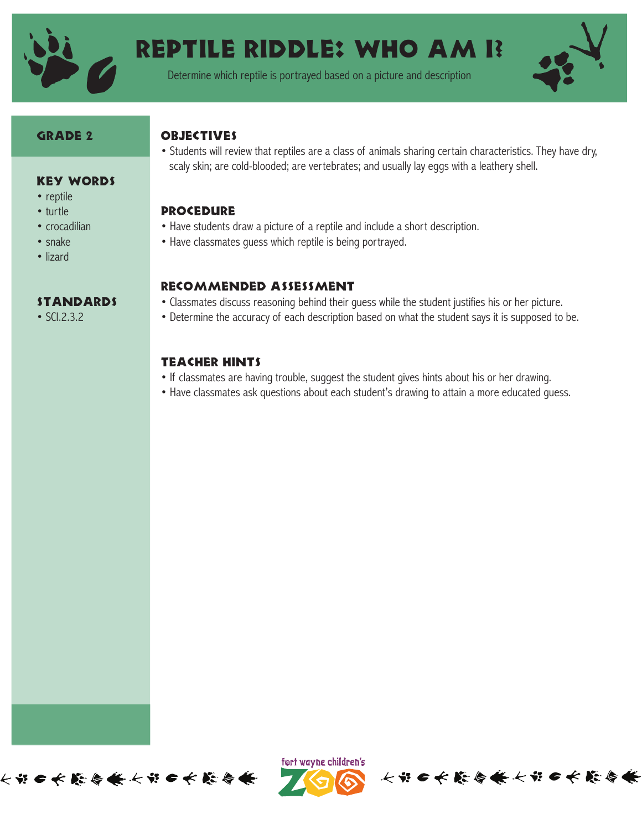

# Reptile Riddle: Who Am I?

Determine which reptile is portrayed based on a picture and description



#### GRADE 2

#### **OBJECTIVES**

- Key Words
- reptile
- turtle
- crocadilian
- snake
- lizard

#### **STANDARDS**

• SCI.2.3.2

• Students will review that reptiles are a class of animals sharing certain characteristics. They have dry, scaly skin; are cold-blooded; are vertebrates; and usually lay eggs with a leathery shell.

#### **PROCEDURE**

- Have students draw a picture of a reptile and include a short description.
- Have classmates guess which reptile is being portrayed.

#### Recommended Assessment

- Classmates discuss reasoning behind their guess while the student justifies his or her picture.
- Determine the accuracy of each description based on what the student says it is supposed to be.

### Teacher Hints

- If classmates are having trouble, suggest the student gives hints about his or her drawing.
- Have classmates ask questions about each student's drawing to attain a more educated guess.





长节口长藤春长长节口长藤春